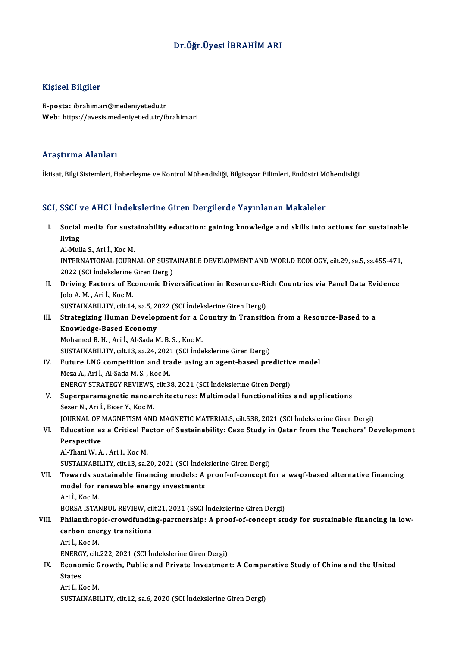### Dr.Öğr.Üyesi İBRAHİMARI

### Kişisel Bilgiler

E-posta: ibrahim.ari@medeniyet.edu.tr Web: https://avesis.medeniyet.edu.tr/ibrahim.ari

#### Araştırma Alanları

İktisat, Bilgi Sistemleri, Haberleşme ve Kontrol Mühendisliği, Bilgisayar Bilimleri, Endüstri Mühendisliği

### SCI, SSCI ve AHCI İndekslerine Giren Dergilerde Yayınlanan Makaleler

CI, SSCI ve AHCI İndekslerine Giren Dergilerde Yayınlanan Makaleler<br>I. Social media for sustainability education: gaining knowledge and skills into actions for sustainable<br>living SSS1<br>Social<br>living<br>Al Mul Social media for susta<br>Iiving<br>Al-Mulla S., Ari İ., Koc M.<br>INTERNATIONAL JOURN living<br>Al-Mulla S., Ari İ., Koc M.<br>INTERNATIONAL JOURNAL OF SUSTAINABLE DEVELOPMENT AND WORLD ECOLOGY, cilt.29, sa.5, ss.455-471,

Al-Mulla S., Ari İ., Koc M.<br>INTERNATIONAL JOURNAL OF SUST.<br>2022 (SCI İndekslerine Giren Dergi)<br>Daiving Festare of Fsenomic Div

II. Driving Factors of Economic Diversification in Resource-Rich Countries via Panel Data Evidence<br>Jolo A. M., Ari İ., Koc M. 2022 (SCI İndekslerine<br>Driving Factors of Ec<br>Jolo A.M., Ari İ., Koc M.<br>SUSTAINAPH ITV. silt 14

SUSTAINABILITY, cilt.14, sa.5, 2022 (SCI İndekslerine Giren Dergi)

## Jolo A. M. , Ari İ., Koc M.<br>SUSTAINABILITY, cilt.14, sa.5, 2022 (SCI İndekslerine Giren Dergi)<br>III. Strategizing Human Development for a Country in Transition from a Resource-Based to a<br>Knowledge Based Esonomy SUSTAINABILITY, cilt.14, sa.5, 2<br>Strategizing Human Develop<br>Knowledge-Based Economy<br>Mohamed B H - Ari L Al Sada M Strategizing Human Development for a C<br>Knowledge-Based Economy<br>Mohamed B. H. , Ari İ., Al-Sada M. B. S. , Koc M.<br>SUSTAINAPU ITV. sik 13. ss 24. 2021 (SCLInde Knowledge-Based Economy<br>Mohamed B. H. , Ari İ., Al-Sada M. B. S. , Koc M.<br>SUSTAINABILITY, cilt.13, sa.24, 2021 (SCI İndekslerine Giren Dergi)

Mohamed B. H., Ari İ., Al-Sada M. B. S., Koc M.<br>SUSTAINABILITY, cilt.13, sa.24, 2021 (SCI İndekslerine Giren Dergi)<br>IV. Future LNG competition and trade using an agent-based predictive model<br>Mere A. Ari İ. Al Sada M. S. Ko Meza A., Ari İ., Al-Sada M. S. , Koc M.<br>ENERGY STRATEGY REVIEWS, cilt.38, 2021 (SCI İndekslerine Giren Dergi) Future LNG competition and trade using an agent-based predictiv<br>Meza A., Ari İ., Al-Sada M. S. , Koc M.<br>ENERGY STRATEGY REVIEWS, cilt.38, 2021 (SCI İndekslerine Giren Dergi)<br>Sunannanamagnatia nanoarabiteatures: Multimodal

## V. Superparamagnetic nanoarchitectures: Multimodal functionalities and applications Sezer N., Ari İ., Bicer Y., Koc M.

JOURNAL OF MAGNETISM AND MAGNETIC MATERIALS, cilt.538, 2021 (SCI İndekslerine Giren Dergi)

# Sezer N., Ari İ., Bicer Y., Koc M.<br>JOURNAL OF MAGNETISM AND MAGNETIC MATERIALS, cilt.538, 2021 (SCI İndekslerine Giren Dergi)<br>VI. Education as a Critical Factor of Sustainability: Case Study in Qatar from the Teachers' **JOURNAL OF |<br>Education a:<br>Perspective<br>Al Thani W.A** Education as a Critical Fa<br>Perspective<br>Al-Thani W. A. , Ari İ., Koc M.<br>SUSTAINAPU ITV. sik 12. 22.

Perspective<br>Al-Thani W. A. , Ari İ., Koc M.<br>SUSTAINABILITY, cilt.13, sa.20, 2021 (SCI İndekslerine Giren Dergi)

# Al-Thani W. A. , Ari İ., Koc M.<br>SUSTAINABILITY, cilt.13, sa.20, 2021 (SCI İndekslerine Giren Dergi)<br>VII. Towards sustainable financing models: A proof-of-concept for a waqf-based alternative financing<br>model for renewab SUSTAINABILITY, cilt.13, sa.20, 2021 (SCI İndek<br>Towards sustainable financing models: A<br>model for renewable energy investments<br>Ari L.KooM **Towards su<br>model for r<br>Ari İ., Koc M.<br>POPSA ISTAN** model for renewable energy investments<br>Ari İ., Koc M.<br>BORSA ISTANBUL REVIEW, cilt.21, 2021 (SSCI İndekslerine Giren Dergi)

# Ari İ., Koc M.<br>BORSA ISTANBUL REVIEW, cilt.21, 2021 (SSCI İndekslerine Giren Dergi)<br>VIII. Philanthropic-crowdfunding-partnership: A proof-of-concept study for sustainable financing in low-<br>carbon aparay transitions BORSA ISTANBUL REVIEW, cil<br>Philanthropic-crowdfundin<br>carbon energy transitions<br>Ari L Kos M Phil<mark>anthrop</mark><br>carbon ene<br>Ari İ., Koc M.<br>ENERCY silt carbon energy transitions<br>Ari İ., Koc M.<br>ENERGY, cilt.222, 2021 (SCI İndekslerine Giren Dergi)<br>Feonomic Crowth, Bublis and Briyata Investmen

# Ari İ., Koc M.<br>ENERGY, cilt.222, 2021 (SCI İndekslerine Giren Dergi)<br>IX. Economic Growth, Public and Private Investment: A Comparative Study of China and the United<br>States ENERG<br>Econol<br>States<br>Ari LK Economic G<br>States<br>Ari İ., Koc M.<br>SUSTAINAPU States<br>Ari İ., Koc M.<br>SUSTAINABILITY, cilt.12, sa.6, 2020 (SCI İndekslerine Giren Dergi)